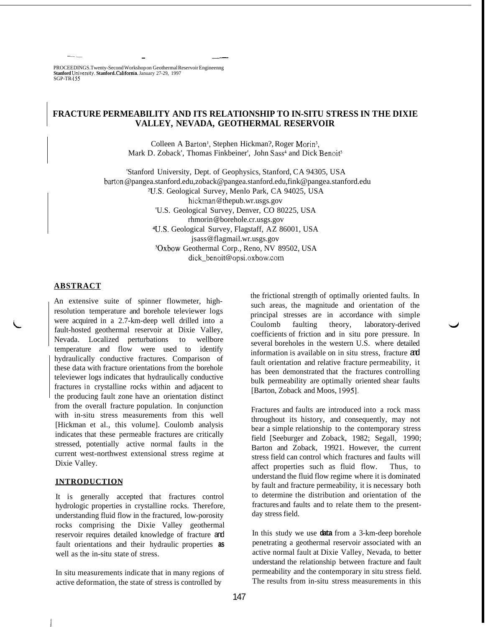PROCEEDINGS. Twenty-Second Workshop on Geothermal Reservoir Engineenng **Stanford** Unlverslty, **Stanford. California,** January 27-29, 1997 SGP-TR- **155** 

~-- \_\_ ~ \_\_

# **FRACTURE PERMEABILITY AND ITS RELATIONSHIP TO IN-SITU STRESS IN THE DIXIE VALLEY, NEVADA, GEOTHERMAL RESERVOIR**

Colleen A Barton<sup>1</sup>, Stephen Hickman?, Roger Morin<sup>3</sup>, Mark D. Zoback', Thomas Finkbeiner', John Sass<sup>4</sup> and Dick Benoit<sup>5</sup>

'Stanford University, Dept. of Geophysics, Stanford, CA 94305, USA barton [@pangea.stanford.edu](mailto:pangea.stanford.edu)[, zoback@pangea.stanford.edu](mailto:zoback@pangea.stanford.edu), [fink@pangea.stanford.edu](mailto:fink@pangea.stanford.edu) **?US.** Geological Survey, Menlo Park, CA 94025, USA hickman[@ thepub.wr.usgs.gov](http://thepub.wr.usgs.gov)  'U.S. Geological Survey, Denver, CO 80225, USA rhmorin @ [borehole.cr.usgs.gov](http://borehole.cr.usgs.gov)  4U.S. Geological Survey, Flagstaff, AZ 86001, USA jsass @ flagmail. [wr.usgs.gov](http://wr.usgs.gov)  SOxbow Geothermal Corp., Reno, NV 89502, USA

## dick-benoit @ opsi.oxbow .com

## **ABSTRACT**

An extensive suite of spinner flowmeter, highresolution temperature and borehole televiewer logs were acquired in a 2.7-km-deep well drilled into a fault-hosted geothermal reservoir at Dixie Valley, Nevada. Localized perturbations to wellbore temperature and flow were used to identify hydraulically conductive fractures. Comparison of these data with fracture orientations from the borehole televiewer logs indicates that hydraulically conductive fractures in crystalline rocks within and adjacent to the producing fault zone have an orientation distinct from the overall fracture population. In conjunction with in-situ stress measurements from this well [Hickman et al., this volume]. Coulomb analysis indicates that these permeable fractures are critically stressed, potentially active normal faults in the current west-northwest extensional stress regime at Dixie Valley.

### **INTRODUCTION**

il

It is generally accepted that fractures control hydrologic properties in crystalline rocks. Therefore, understanding fluid flow in the fractured, low-porosity rocks comprising the Dixie Valley geothermal reservoir requires detailed knowledge of fracture and fault orientations and their hydraulic properties **as**  well as the in-situ state of stress.

In situ measurements indicate that in many regions of active deformation, the state of stress is controlled by

the frictional strength of optimally oriented faults. In such areas, the magnitude and orientation of the principal stresses are in accordance with simple Coulomb faulting theory, laboratory-derived coefficients of friction and in situ pore pressure. In several boreholes in the western U.S. where detailed information is available on in situ stress, fracture and fault orientation and relative fracture permeability, it has been demonstrated that the fractures controlling bulk permeability are optimally oriented shear faults [Barton, Zoback and Moos, 1995].

*J* 

Fractures and faults are introduced into a rock mass throughout its history, and consequently, may not bear a simple relationship to the contemporary stress field [Seeburger and Zoback, 1982; Segall, 1990; Barton and Zoback, 19921. However, the current stress field can control which fractures and faults will affect properties such as fluid flow. Thus, to understand the fluid flow regime where it is dominated by fault and fracture permeability, it is necessary both to determine the distribution and orientation of the fractures and faults and to relate them to the presentday stress field.

In this study we use **data** from a 3-km-deep borehole penetrating a geothermal reservoir associated with an active normal fault at Dixie Valley, Nevada, to better understand the relationship between fracture and fault permeability and the contemporary in situ stress field. The results from in-situ stress measurements in this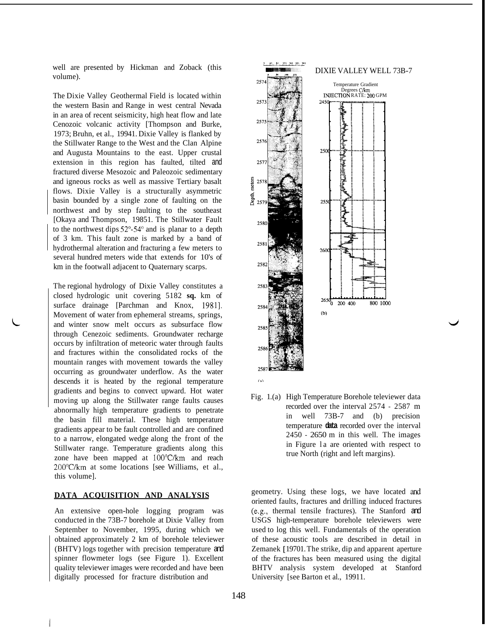well are presented by Hickman and Zoback (this volume).

The Dixie Valley Geothermal Field is located within the western Basin and Range in west central Nevada in an area of recent seismicity, high heat flow and late Cenozoic volcanic activity [Thompson and Burke, 1973; Bruhn, et al., 19941. Dixie Valley is flanked by the Stillwater Range to the West and the Clan Alpine and Augusta Mountains to the east. Upper crustal extension in this region has faulted, tilted and fractured diverse Mesozoic and Paleozoic sedimentary and igneous rocks as well as massive Tertiary basalt flows. Dixie Valley is a structurally asymmetric basin bounded by a single zone of faulting on the northwest and by step faulting to the southeast [Okaya and Thompson, 19851. The Stillwater Fault to the northwest dips  $52^{\circ}$ -54 $^{\circ}$  and is planar to a depth of 3 km. This fault zone is marked by a band of hydrothermal alteration and fracturing a few meters to several hundred meters wide that extends for 10's of km in the footwall adjacent to Quaternary scarps.

The regional hydrology of Dixie Valley constitutes a closed hydrologic unit covering 5182 **sq.** km of surface drainage [Parchman and Knox, 1981]. Movement of water from ephemeral streams, springs, and winter snow melt occurs as subsurface flow through Cenezoic sediments. Groundwater recharge occurs by infiltration of meteoric water through faults and fractures within the consolidated rocks of the mountain ranges with movement towards the valley occurring as groundwater underflow. As the water descends it is heated by the regional temperature gradients and begins to convect upward. Hot water moving up along the Stillwater range faults causes abnormally high temperature gradients to penetrate the basin fill material. These high temperature gradients appear to be fault controlled and are confined to a narrow, elongated wedge along the front of the Stillwater range. Temperature gradients along this zone have been mapped at 100"C/km and reach 200"C/km at some locations [see Williams, et al., this volume].

## **DATA ACQUISITION AND ANALYSIS**

An extensive open-hole logging program was conducted in the 73B-7 borehole at Dixie Valley from September to November, 1995, during which we obtained approximately 2 km of borehole televiewer (BHTV) logs together with precision temperature and spinner flowmeter logs (see Figure 1). Excellent quality televiewer images were recorded and have been digitally processed for fracture distribution and



[Fig.](#page--1-0) 1.(a) High Temperature Borehole televiewer data recorded over the interval 2574 - 2587 m in well 73B-7 and (b) precision temperature **data** recorded over the interval 2450 - 2650 m in this well. The images in Figure la are oriented with respect to true North (right and left margins).

*J* 

geometry. Using these logs, we have located and oriented faults, fractures and drilling induced fractures (e.g., thermal tensile fractures). The Stanford and USGS high-temperature borehole televiewers were used to log this well. Fundamentals of the operation of these acoustic tools are described in detail in Zemanek [ 19701. The strike, dip and apparent aperture of the fractures has been measured using the digital BHTV analysis system developed at Stanford University [see Barton et al., 19911.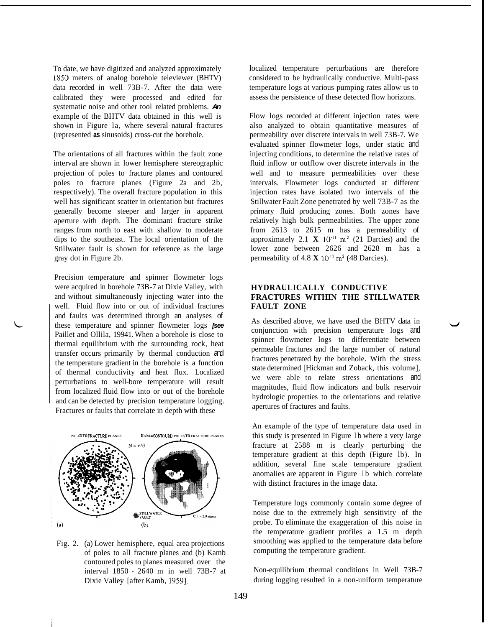To date, we have digitized and analyzed approximately I850 meters of analog borehole televiewer (BHTV) data recorded in well 73B-7. After the data were calibrated they were processed and edited for systematic noise and other tool related problems. *An*  example of the BHTV data obtained in this well is shown in Figure la, where several natural fractures (represented **as** sinusoids) cross-cut the borehole.

The orientations of all fractures within the fault zone interval are shown in lower hemisphere stereographic projection of poles to fracture planes and contoured poles to fracture planes (Figure 2a and 2b, respectively). The overall fracture population in this well has significant scatter in orientation but fractures generally become steeper and larger in apparent aperture with depth. The dominant fracture strike ranges from north to east with shallow to moderate dips to the southeast. The local orientation of the Stillwater fault is shown for reference as the large gray dot in Figure 2b.

Precision temperature and spinner flowmeter logs were acquired in borehole 73B-7 at Dixie Valley, with and without simultaneously injecting water into the well. Fluid flow into or out of individual fractures and faults was determined through an analyses of these temperature and spinner flowmeter logs *[see*  Paillet and Ollila, 19941. When a borehole is close to thermal equilibrium with the surrounding rock, heat transfer occurs primarily by thermal conduction and the temperature gradient in the borehole is a function of thermal conductivity and heat flux. Localized perturbations to well-bore temperature will result from localized fluid flow into or out of the borehole and can be detected by precision temperature logging. Fractures or faults that correlate in depth with these



[Fig.](#page--1-0) 2. (a) Lower hemisphere, equal area projections of poles to all fracture planes and (b) Kamb contoured poles to planes measured over the interval 1850 - 2640 m in well 73B-7 at Dixie Valley [after Kamb, 1959].

localized temperature perturbations are therefore considered to be hydraulically conductive. Multi-pass temperature logs at various pumping rates allow us to assess the persistence of these detected flow horizons.

Flow logs recorded at different injection rates were also analyzed to obtain quantitative measures of permeability over discrete intervals in well 73B-7. We evaluated spinner flowmeter logs, under static and injecting conditions, to determine the relative rates of fluid inflow or outflow over discrete intervals in the well and to measure permeabilities over these intervals. Flowmeter logs conducted at different injection rates have isolated two intervals of the Stillwater Fault Zone penetrated by well 73B-7 as the primary fluid producing zones. Both zones have relatively high bulk permeabilities. The upper zone from 2613 to 2615 m has a permeability of approximately 2.1  $\mathbf{X}$  10<sup>-11</sup> m<sup>2</sup> (21 Darcies) and the lower zone between 2626 and 2628 m has a permeability of  $4.8 \text{ X } 10^{-11} \text{ m}^2$  (48 Darcies).

# **HYDRAULICALLY CONDUCTIVE FRACTURES WITHIN THE STILLWATER FAULT ZONE**

As described above, we have used the BHTV data in conjunction with precision temperature logs and spinner flowmeter logs to differentiate between permeable fractures and the large number of natural fractures penetrated by the borehole. With the stress state determined [Hickman and Zoback, this volume], we were able to relate stress orientations and magnitudes, fluid flow indicators and bulk reservoir hydrologic properties to the orientations and relative apertures of fractures and faults.

An example of the type of temperature data used in this study is presented in Figure lb where a very large fracture at 2588 m is clearly perturbing the temperature gradient at this depth (Figure lb). In addition, several fine scale temperature gradient anomalies are apparent in Figure lb which correlate with distinct fractures in the image data.

Temperature logs commonly contain some degree of noise due to the extremely high sensitivity of the probe. To eliminate the exaggeration of this noise in the temperature gradient profiles a 1.5 m depth smoothing was applied to the temperature data before computing the temperature gradient.

Non-equilibrium thermal conditions in Well 73B-7 during logging resulted in a non-uniform temperature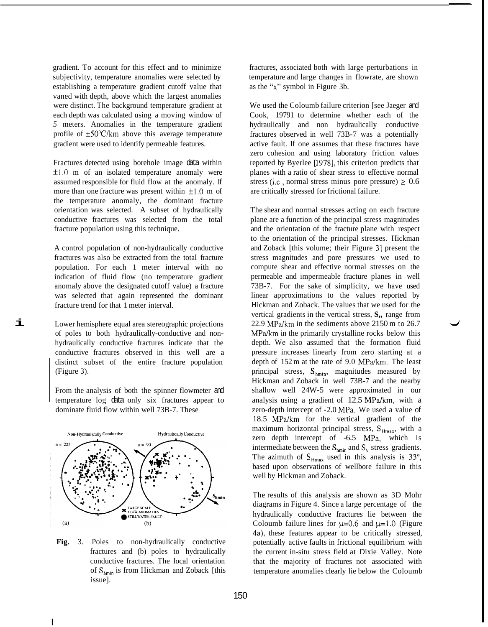gradient. To account for this effect and to minimize subjectivity, temperature anomalies were selected by establishing a temperature gradient cutoff value that vaned with depth, above which the largest anomalies were distinct. The background temperature gradient at each depth was calculated using a moving window of *5* meters. Anomalies in the temperature gradient profile of  $\pm 50^{\circ}$ C/km above this average temperature gradient were used to identify permeable features.

Fractures detected using borehole image data within  $\pm 1.0$  m of an isolated temperature anomaly were assumed responsible for fluid flow at the anomaly. If more than one fracture was present within  $\pm 1.0$  m of the temperature anomaly, the dominant fracture orientation was selected. A subset of hydraulically conductive fractures was selected from the total fracture population using this technique.

A control population of non-hydraulically conductive fractures was also be extracted from the total fracture population. For each 1 meter interval with no indication of fluid flow (no temperature gradient anomaly above the designated cutoff value) a fracture was selected that again represented the dominant fracture trend for that 1 meter interval.

Lower hemisphere equal area stereographic projections of poles to both hydraulically-conductive and nonhydraulically conductive fractures indicate that the conductive fractures observed in this well are a distinct subset of the entire fracture population (Figure 3).

**i** 

I

From the analysis of both the spinner flowmeter and temperature log data only six fractures appear to dominate fluid flow within well 73B-7. These



**[Fig.](#page--1-0)** 3. Poles to non-hydraulically conductive fractures and (b) poles to hydraulically conductive fractures. The local orientation of  $S_{hmin}$  is from Hickman and Zoback [this issue].

fractures, associated both with large perturbations in temperature and large changes in flowrate, are shown as the **"x"** symbol in Figure 3b.

We used the Coloumb failure criterion [see Jaeger and Cook, 19791 to determine whether each of the hydraulically and non hydraulically conductive fractures observed in well 73B-7 was a potentially active fault. If one assumes that these fractures have zero cohesion and using laboratory friction values reported by Byerlee [1978], this criterion predicts that planes with a ratio of shear stress to effective normal stress (i.e., normal stress minus pore pressure)  $\geq 0.6$ are critically stressed for frictional failure.

The shear and normal stresses acting on each fracture plane are a function of the principal stress magnitudes and the orientation of the fracture plane with respect to the orientation of the principal stresses. Hickman and Zoback [this volume; their Figure 31 present the stress magnitudes and pore pressures we used to compute shear and effective normal stresses on the permeable and impermeable fracture planes in well 73B-7. For the sake of simplicity, we have used linear approximations to the values reported by Hickman and Zoback. The values that we used for the vertical gradients in the vertical stress, **S,,** range from 22.9 MPa/km in the sediments above 2150 m to 26.7 MPa/km in the primarily crystalline rocks below this depth. We also assumed that the formation fluid pressure increases linearly from zero starting at a depth of 152 m at the rate of 9.0 MPa/km. The least principal stress, S<sub>hmin</sub>, magnitudes measured by Hickman and Zoback in well 73B-7 and the nearby shallow well 24W-5 were approximated in our analysis using a gradient of 12.5 MPa/km, with a zero-depth intercept of -2.0 MPa. We used a value of 18.5 MPa/km for the vertical gradient of the maximum horizontal principal stress,  $S_{Hmax}$ , with a zero depth intercept of -6.5 MPa, which is intermediate between the  $S_{\text{hmin}}$  and  $S_{v}$  stress gradients. The azimuth of  $S_{Hmax}$  used in this analysis is 33<sup>o</sup>, based upon observations of wellbore failure in this well by Hickman and Zoback.

The results of this analysis are shown as 3D Mohr diagrams in [Figure 4.](#page--1-0) Since a large percentage of the hydraulically conductive fractures lie between the Coloumb failure lines for  $\mu=0.6$  and  $\mu=1.0$  (Figure 4a), these features appear to be critically stressed, potentially active faults in frictional equilibrium with the current in-situ stress field at Dixie Valley. Note that the majority of fractures not associated with temperature anomalies clearly lie below the Coloumb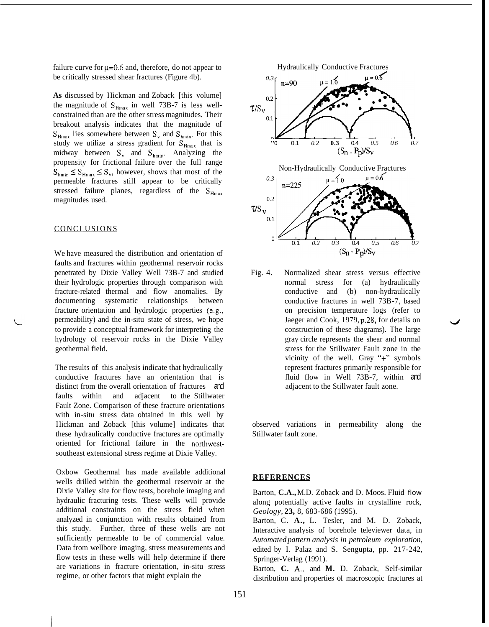failure curve for  $\mu$ =0.6 and, therefore, do not appear to be critically stressed shear fractures (Figure 4b).

**As** discussed by Hickman and Zoback [this volume] the magnitude of  $S_{Hmax}$  in well 73B-7 is less wellconstrained than are the other stress magnitudes. Their breakout analysis indicates that the magnitude of  $S_{Hmax}$  lies somewhere between  $S_y$  and  $S_{hmin}$ . For this study we utilize a stress gradient for S<sub>Hmax</sub> that is midway between  $S_v$  and  $S_{hmin}$ . Analyzing the propensity for frictional failure over the full range  $S_{\text{hmin}} \leq S_{\text{Hmax}} \leq S_{\text{v}}$ , however, shows that most of the permeable fractures still appear to be critically stressed failure planes, regardless of the  $S_{H_{\text{max}}}$ magnitudes used.

### **CONCLUSIONS**

We have measured the distribution and orientation of faults and fractures within geothermal reservoir rocks penetrated by Dixie Valley Well 73B-7 and studied their hydrologic properties through comparison with fracture-related thermal and flow anomalies. By documenting systematic relationships between fracture orientation and hydrologic properties (e.g., permeability) and the in-situ state of stress, we hope to provide a conceptual framework for interpreting the hydrology of reservoir rocks in the Dixie Valley geothermal field.

The results of this analysis indicate that hydraulically conductive fractures have an orientation that is distinct from the overall orientation of fractures and faults within and adjacent to the Stillwater Fault Zone. Comparison of these fracture orientations with in-situ stress data obtained in this well by Hickman and Zoback [this volume] indicates that these hydraulically conductive fractures are optimally oriented for frictional failure in the northwestsoutheast extensional stress regime at Dixie Valley.

Oxbow Geothermal has made available additional wells drilled within the geothermal reservoir at the Dixie Valley site for flow tests, borehole imaging and hydraulic fracturing tests. These wells will provide additional constraints on the stress field when analyzed in conjunction with results obtained from this study. Further, three of these wells are not sufficiently permeable to be of commercial value. Data from wellbore imaging, stress measurements and flow tests in these wells will help determine if there are variations in fracture orientation, in-situ stress regime, or other factors that might explain the



[Fig.](#page--1-0) 4. Normalized shear stress versus effective normal stress for (a) hydraulically conductive and (b) non-hydraulically conductive fractures in well 73B-7, based on precision temperature logs (refer to Jaeger and Cook, 1979, p.28, for details on construction of these diagrams). The large gray circle represents the shear and normal stress for the Stillwater Fault zone in the vicinity of the well. Gray "+" symbols represent fractures primarily responsible for fluid flow in Well 73B-7, within and adjacent to the Stillwater fault zone.

observed variations in permeability along the Stillwater fault zone.

#### **REFERENCES**

Barton, **C.A.,** M.D. Zoback and D. Moos. Fluid flow along potentially active faults in crystalline rock, *Geology,* **23,** 8, 683-686 (1995).

Barton, C. **A.,** L. Tesler, and M. D. Zoback, Interactive analysis of borehole televiewer data, in *Automated pattern analysis in petroleum exploration,*  edited by I. Palaz and S. Sengupta, pp. 217-242, Springer-Verlag (1991).

Barton, **C. A,,** and **M.** D. Zoback, Self-similar distribution and properties of macroscopic fractures at